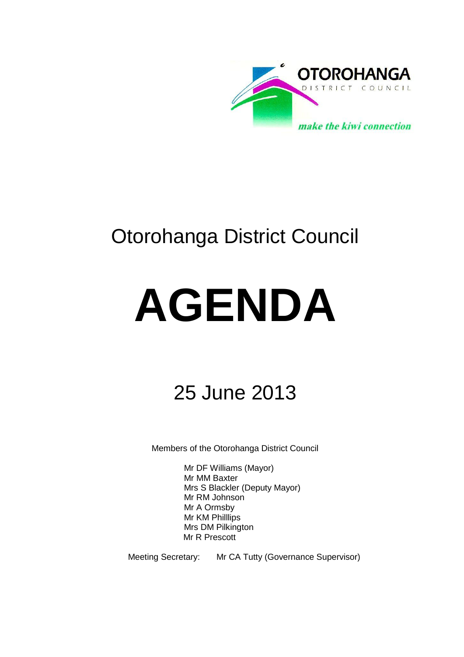

## Otorohanga District Council

# **AGENDA**

## 25 June 2013

Members of the Otorohanga District Council

Mr DF Williams (Mayor) Mr MM Baxter Mrs S Blackler (Deputy Mayor) Mr RM Johnson Mr A Ormsby Mr KM Philllips Mrs DM Pilkington Mr R Prescott

Meeting Secretary: Mr CA Tutty (Governance Supervisor)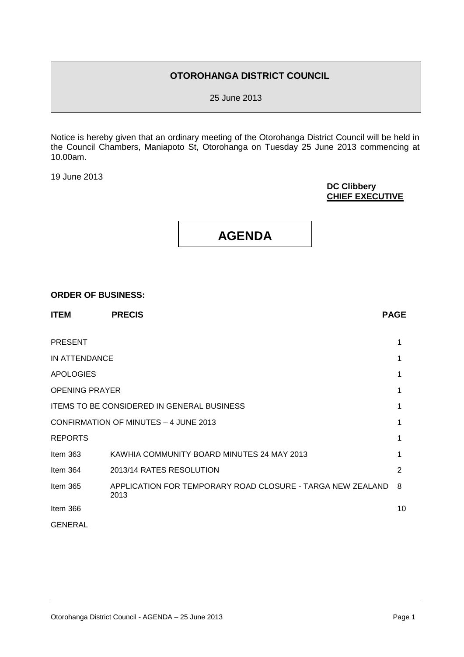#### **OTOROHANGA DISTRICT COUNCIL**

25 June 2013

Notice is hereby given that an ordinary meeting of the Otorohanga District Council will be held in the Council Chambers, Maniapoto St, Otorohanga on Tuesday 25 June 2013 commencing at 10.00am.

19 June 2013

#### **DC Clibbery CHIEF EXECUTIVE**

### **AGENDA**

#### **ORDER OF BUSINESS:**

| <b>ITEM</b>                                       | <b>PRECIS</b>                                                      | <b>PAGE</b> |
|---------------------------------------------------|--------------------------------------------------------------------|-------------|
| <b>PRESENT</b>                                    |                                                                    | 1           |
| IN ATTENDANCE                                     |                                                                    | 1           |
| <b>APOLOGIES</b>                                  |                                                                    | 1           |
| <b>OPENING PRAYER</b>                             |                                                                    |             |
| <b>ITEMS TO BE CONSIDERED IN GENERAL BUSINESS</b> |                                                                    |             |
| CONFIRMATION OF MINUTES - 4 JUNE 2013             |                                                                    |             |
| <b>REPORTS</b>                                    |                                                                    | 1           |
| Item $363$                                        | KAWHIA COMMUNITY BOARD MINUTES 24 MAY 2013                         | 1           |
| Item 364                                          | 2013/14 RATES RESOLUTION                                           | 2           |
| Item 365                                          | APPLICATION FOR TEMPORARY ROAD CLOSURE - TARGA NEW ZEALAND<br>2013 | 8           |
| Item 366                                          |                                                                    | 10          |
| <b>GENERAL</b>                                    |                                                                    |             |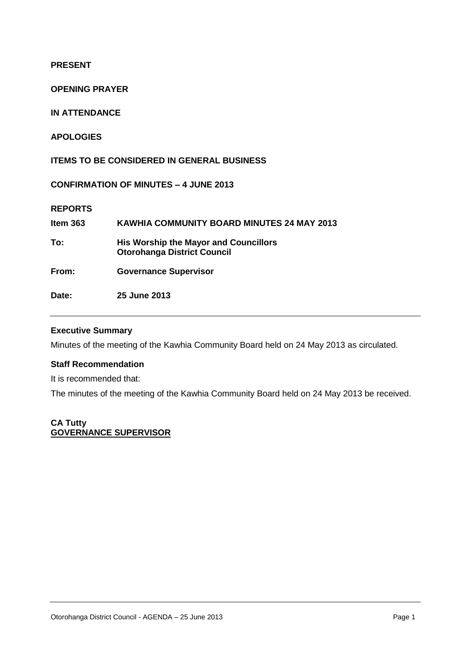**PRESENT**

**OPENING PRAYER**

**IN ATTENDANCE**

**APOLOGIES**

**ITEMS TO BE CONSIDERED IN GENERAL BUSINESS**

**CONFIRMATION OF MINUTES – 4 JUNE 2013**

**REPORTS**

| Item 363 | <b>KAWHIA COMMUNITY BOARD MINUTES 24 MAY 2013</b>                                  |
|----------|------------------------------------------------------------------------------------|
| To:      | <b>His Worship the Mayor and Councillors</b><br><b>Otorohanga District Council</b> |
| From:    | <b>Governance Supervisor</b>                                                       |
| Date:    | 25 June 2013                                                                       |

#### **Executive Summary**

Minutes of the meeting of the Kawhia Community Board held on 24 May 2013 as circulated.

#### **Staff Recommendation**

It is recommended that:

The minutes of the meeting of the Kawhia Community Board held on 24 May 2013 be received.

#### **CA Tutty GOVERNANCE SUPERVISOR**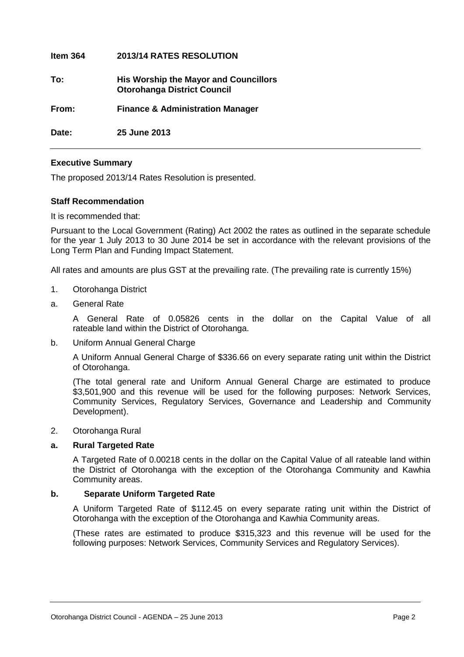| ltem 364 | <b>2013/14 RATES RESOLUTION</b>                                                    |
|----------|------------------------------------------------------------------------------------|
| To:      | <b>His Worship the Mayor and Councillors</b><br><b>Otorohanga District Council</b> |
| From:    | <b>Finance &amp; Administration Manager</b>                                        |
| Date:    | 25 June 2013                                                                       |

#### **Executive Summary**

The proposed 2013/14 Rates Resolution is presented.

#### **Staff Recommendation**

It is recommended that:

Pursuant to the Local Government (Rating) Act 2002 the rates as outlined in the separate schedule for the year 1 July 2013 to 30 June 2014 be set in accordance with the relevant provisions of the Long Term Plan and Funding Impact Statement.

All rates and amounts are plus GST at the prevailing rate. (The prevailing rate is currently 15%)

- 1. Otorohanga District
- a. General Rate

A General Rate of 0.05826 cents in the dollar on the Capital Value of all rateable land within the District of Otorohanga.

b. Uniform Annual General Charge

A Uniform Annual General Charge of \$336.66 on every separate rating unit within the District of Otorohanga.

(The total general rate and Uniform Annual General Charge are estimated to produce \$3,501,900 and this revenue will be used for the following purposes: Network Services, Community Services, Regulatory Services, Governance and Leadership and Community Development).

#### 2. Otorohanga Rural

#### **a. Rural Targeted Rate**

A Targeted Rate of 0.00218 cents in the dollar on the Capital Value of all rateable land within the District of Otorohanga with the exception of the Otorohanga Community and Kawhia Community areas.

#### **b. Separate Uniform Targeted Rate**

A Uniform Targeted Rate of \$112.45 on every separate rating unit within the District of Otorohanga with the exception of the Otorohanga and Kawhia Community areas.

(These rates are estimated to produce \$315,323 and this revenue will be used for the following purposes: Network Services, Community Services and Regulatory Services).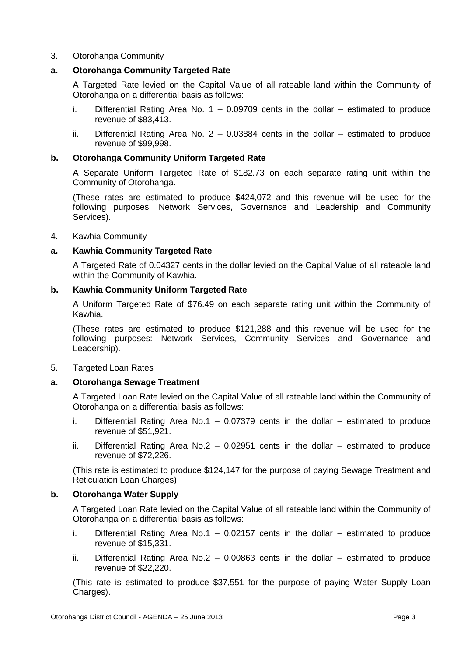#### 3. Otorohanga Community

#### **a. Otorohanga Community Targeted Rate**

A Targeted Rate levied on the Capital Value of all rateable land within the Community of Otorohanga on a differential basis as follows:

- i. Differential Rating Area No.  $1 0.09709$  cents in the dollar estimated to produce revenue of \$83,413.
- ii. Differential Rating Area No.  $2 0.03884$  cents in the dollar estimated to produce revenue of \$99,998.

#### **b. Otorohanga Community Uniform Targeted Rate**

A Separate Uniform Targeted Rate of \$182.73 on each separate rating unit within the Community of Otorohanga.

(These rates are estimated to produce \$424,072 and this revenue will be used for the following purposes: Network Services, Governance and Leadership and Community Services).

4. Kawhia Community

#### **a. Kawhia Community Targeted Rate**

A Targeted Rate of 0.04327 cents in the dollar levied on the Capital Value of all rateable land within the Community of Kawhia.

#### **b. Kawhia Community Uniform Targeted Rate**

A Uniform Targeted Rate of \$76.49 on each separate rating unit within the Community of Kawhia.

(These rates are estimated to produce \$121,288 and this revenue will be used for the following purposes: Network Services, Community Services and Governance and Leadership).

5. Targeted Loan Rates

#### **a. Otorohanga Sewage Treatment**

A Targeted Loan Rate levied on the Capital Value of all rateable land within the Community of Otorohanga on a differential basis as follows:

- i. Differential Rating Area No.1  $-$  0.07379 cents in the dollar  $-$  estimated to produce revenue of \$51,921.
- ii. Differential Rating Area No.2  $-$  0.02951 cents in the dollar  $-$  estimated to produce revenue of \$72,226.

(This rate is estimated to produce \$124,147 for the purpose of paying Sewage Treatment and Reticulation Loan Charges).

#### **b. Otorohanga Water Supply**

A Targeted Loan Rate levied on the Capital Value of all rateable land within the Community of Otorohanga on a differential basis as follows:

- i. Differential Rating Area No.1 0.02157 cents in the dollar estimated to produce revenue of \$15,331.
- ii. Differential Rating Area No.2 0.00863 cents in the dollar estimated to produce revenue of \$22,220.

(This rate is estimated to produce \$37,551 for the purpose of paying Water Supply Loan Charges).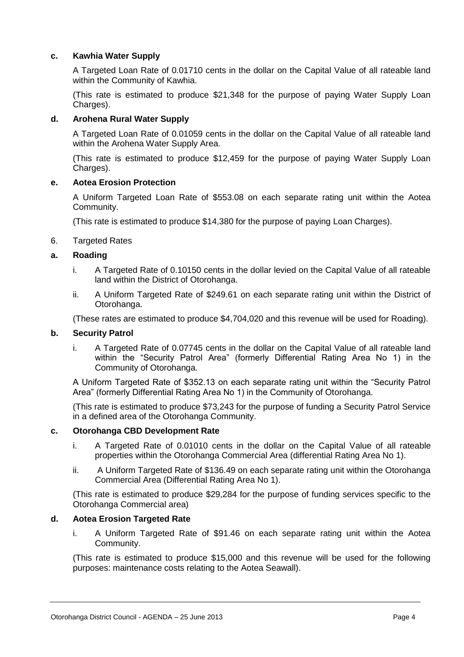#### **c. Kawhia Water Supply**

A Targeted Loan Rate of 0.01710 cents in the dollar on the Capital Value of all rateable land within the Community of Kawhia.

(This rate is estimated to produce \$21,348 for the purpose of paying Water Supply Loan Charges).

#### **d. Arohena Rural Water Supply**

A Targeted Loan Rate of 0.01059 cents in the dollar on the Capital Value of all rateable land within the Arohena Water Supply Area.

(This rate is estimated to produce \$12,459 for the purpose of paying Water Supply Loan Charges).

#### **e. Aotea Erosion Protection**

A Uniform Targeted Loan Rate of \$553.08 on each separate rating unit within the Aotea Community.

(This rate is estimated to produce \$14,380 for the purpose of paying Loan Charges).

6. Targeted Rates

#### **a. Roading**

- i. A Targeted Rate of 0.10150 cents in the dollar levied on the Capital Value of all rateable land within the District of Otorohanga.
- ii. A Uniform Targeted Rate of \$249.61 on each separate rating unit within the District of Otorohanga.

(These rates are estimated to produce \$4,704,020 and this revenue will be used for Roading).

#### **b. Security Patrol**

i. A Targeted Rate of 0.07745 cents in the dollar on the Capital Value of all rateable land within the "Security Patrol Area" (formerly Differential Rating Area No 1) in the Community of Otorohanga.

A Uniform Targeted Rate of \$352.13 on each separate rating unit within the "Security Patrol Area" (formerly Differential Rating Area No 1) in the Community of Otorohanga.

(This rate is estimated to produce \$73,243 for the purpose of funding a Security Patrol Service in a defined area of the Otorohanga Community.

#### **c. Otorohanga CBD Development Rate**

- i. A Targeted Rate of 0.01010 cents in the dollar on the Capital Value of all rateable properties within the Otorohanga Commercial Area (differential Rating Area No 1).
- ii. A Uniform Targeted Rate of \$136.49 on each separate rating unit within the Otorohanga Commercial Area (Differential Rating Area No 1).

(This rate is estimated to produce \$29,284 for the purpose of funding services specific to the Otorohanga Commercial area)

#### **d. Aotea Erosion Targeted Rate**

i. A Uniform Targeted Rate of \$91.46 on each separate rating unit within the Aotea Community.

(This rate is estimated to produce \$15,000 and this revenue will be used for the following purposes: maintenance costs relating to the Aotea Seawall).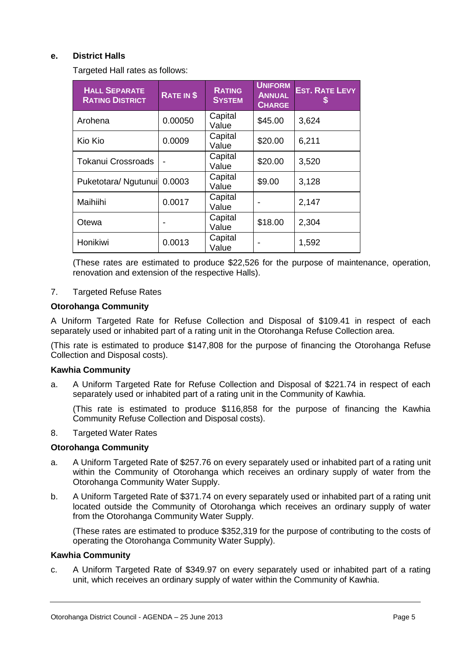#### **e. District Halls**

Targeted Hall rates as follows:

| <b>HALL SEPARATE</b><br><b>RATING DISTRICT</b> | RATE IN \$ | <b>RATING</b><br><b>SYSTEM</b> | <b>UNIFORM</b><br><b>ANNUAL</b><br><b>CHARGE</b> | <b>EST. RATE LEVY</b> |
|------------------------------------------------|------------|--------------------------------|--------------------------------------------------|-----------------------|
| Arohena                                        | 0.00050    | Capital<br>Value               | \$45.00                                          | 3,624                 |
| Kio Kio                                        | 0.0009     | Capital<br>Value               | \$20.00                                          | 6,211                 |
| <b>Tokanui Crossroads</b>                      |            | Capital<br>Value               | \$20.00                                          | 3,520                 |
| Puketotara/ Ngutunui                           | 0.0003     | Capital<br>Value               | \$9.00                                           | 3,128                 |
| Maihiihi                                       | 0.0017     | Capital<br>Value               |                                                  | 2,147                 |
| Otewa                                          |            | Capital<br>Value               | \$18.00                                          | 2,304                 |
| Honikiwi                                       | 0.0013     | Capital<br>Value               |                                                  | 1,592                 |

(These rates are estimated to produce \$22,526 for the purpose of maintenance, operation, renovation and extension of the respective Halls).

#### 7. Targeted Refuse Rates

#### **Otorohanga Community**

A Uniform Targeted Rate for Refuse Collection and Disposal of \$109.41 in respect of each separately used or inhabited part of a rating unit in the Otorohanga Refuse Collection area.

(This rate is estimated to produce \$147,808 for the purpose of financing the Otorohanga Refuse Collection and Disposal costs).

#### **Kawhia Community**

a. A Uniform Targeted Rate for Refuse Collection and Disposal of \$221.74 in respect of each separately used or inhabited part of a rating unit in the Community of Kawhia.

(This rate is estimated to produce \$116,858 for the purpose of financing the Kawhia Community Refuse Collection and Disposal costs).

#### 8. Targeted Water Rates

#### **Otorohanga Community**

- a. A Uniform Targeted Rate of \$257.76 on every separately used or inhabited part of a rating unit within the Community of Otorohanga which receives an ordinary supply of water from the Otorohanga Community Water Supply.
- b. A Uniform Targeted Rate of \$371.74 on every separately used or inhabited part of a rating unit located outside the Community of Otorohanga which receives an ordinary supply of water from the Otorohanga Community Water Supply.

(These rates are estimated to produce \$352,319 for the purpose of contributing to the costs of operating the Otorohanga Community Water Supply).

#### **Kawhia Community**

c. A Uniform Targeted Rate of \$349.97 on every separately used or inhabited part of a rating unit, which receives an ordinary supply of water within the Community of Kawhia.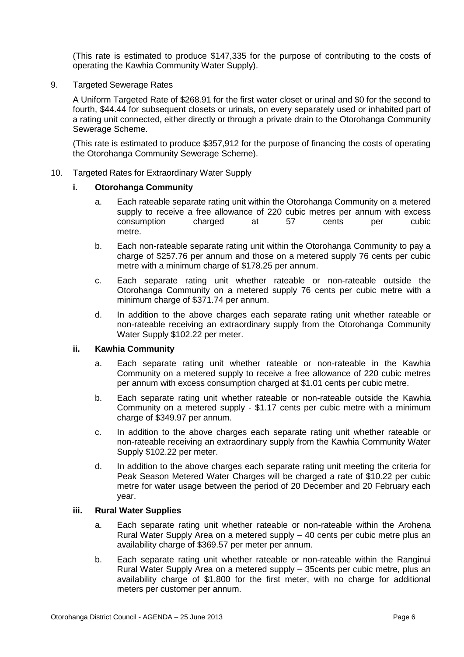(This rate is estimated to produce \$147,335 for the purpose of contributing to the costs of operating the Kawhia Community Water Supply).

9. Targeted Sewerage Rates

A Uniform Targeted Rate of \$268.91 for the first water closet or urinal and \$0 for the second to fourth, \$44.44 for subsequent closets or urinals, on every separately used or inhabited part of a rating unit connected, either directly or through a private drain to the Otorohanga Community Sewerage Scheme.

(This rate is estimated to produce \$357,912 for the purpose of financing the costs of operating the Otorohanga Community Sewerage Scheme).

10. Targeted Rates for Extraordinary Water Supply

#### **i. Otorohanga Community**

- a. Each rateable separate rating unit within the Otorohanga Community on a metered supply to receive a free allowance of 220 cubic metres per annum with excess consumption charged at 57 cents per cubic metre.
- b. Each non-rateable separate rating unit within the Otorohanga Community to pay a charge of \$257.76 per annum and those on a metered supply 76 cents per cubic metre with a minimum charge of \$178.25 per annum.
- c. Each separate rating unit whether rateable or non-rateable outside the Otorohanga Community on a metered supply 76 cents per cubic metre with a minimum charge of \$371.74 per annum.
- d. In addition to the above charges each separate rating unit whether rateable or non-rateable receiving an extraordinary supply from the Otorohanga Community Water Supply \$102.22 per meter.

#### **ii. Kawhia Community**

- a. Each separate rating unit whether rateable or non-rateable in the Kawhia Community on a metered supply to receive a free allowance of 220 cubic metres per annum with excess consumption charged at \$1.01 cents per cubic metre.
- b. Each separate rating unit whether rateable or non-rateable outside the Kawhia Community on a metered supply - \$1.17 cents per cubic metre with a minimum charge of \$349.97 per annum.
- c. In addition to the above charges each separate rating unit whether rateable or non-rateable receiving an extraordinary supply from the Kawhia Community Water Supply \$102.22 per meter.
- d. In addition to the above charges each separate rating unit meeting the criteria for Peak Season Metered Water Charges will be charged a rate of \$10.22 per cubic metre for water usage between the period of 20 December and 20 February each year.

#### **iii. Rural Water Supplies**

- a. Each separate rating unit whether rateable or non-rateable within the Arohena Rural Water Supply Area on a metered supply – 40 cents per cubic metre plus an availability charge of \$369.57 per meter per annum.
- b. Each separate rating unit whether rateable or non-rateable within the Ranginui Rural Water Supply Area on a metered supply – 35cents per cubic metre, plus an availability charge of \$1,800 for the first meter, with no charge for additional meters per customer per annum.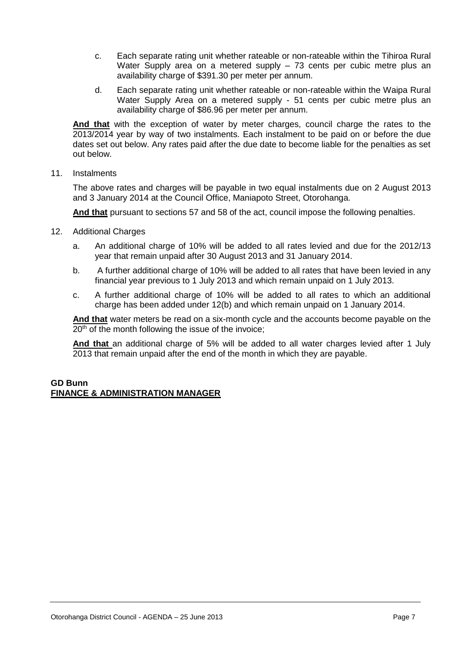- c. Each separate rating unit whether rateable or non-rateable within the Tihiroa Rural Water Supply area on a metered supply – 73 cents per cubic metre plus an availability charge of \$391.30 per meter per annum.
- d. Each separate rating unit whether rateable or non-rateable within the Waipa Rural Water Supply Area on a metered supply - 51 cents per cubic metre plus an availability charge of \$86.96 per meter per annum.

**And that** with the exception of water by meter charges, council charge the rates to the 2013/2014 year by way of two instalments. Each instalment to be paid on or before the due dates set out below. Any rates paid after the due date to become liable for the penalties as set out below.

11. Instalments

The above rates and charges will be payable in two equal instalments due on 2 August 2013 and 3 January 2014 at the Council Office, Maniapoto Street, Otorohanga.

**And that** pursuant to sections 57 and 58 of the act, council impose the following penalties.

- 12. Additional Charges
	- a. An additional charge of 10% will be added to all rates levied and due for the 2012/13 year that remain unpaid after 30 August 2013 and 31 January 2014.
	- b. A further additional charge of 10% will be added to all rates that have been levied in any financial year previous to 1 July 2013 and which remain unpaid on 1 July 2013.
	- c. A further additional charge of 10% will be added to all rates to which an additional charge has been added under 12(b) and which remain unpaid on 1 January 2014.

**And that** water meters be read on a six-month cycle and the accounts become payable on the  $20<sup>th</sup>$  of the month following the issue of the invoice;

**And that** an additional charge of 5% will be added to all water charges levied after 1 July 2013 that remain unpaid after the end of the month in which they are payable.

#### **GD Bunn FINANCE & ADMINISTRATION MANAGER**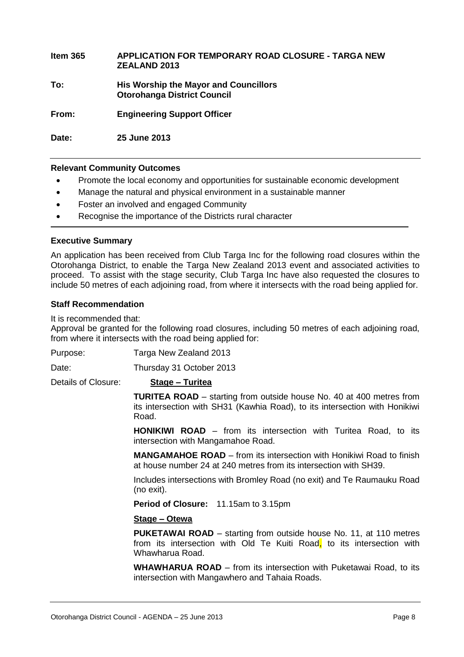| Item 365 | APPLICATION FOR TEMPORARY ROAD CLOSURE - TARGA NEW<br><b>ZEALAND 2013</b>          |
|----------|------------------------------------------------------------------------------------|
| To:      | <b>His Worship the Mayor and Councillors</b><br><b>Otorohanga District Council</b> |
| From:    | <b>Engineering Support Officer</b>                                                 |
| Date:    | 25 June 2013                                                                       |

#### **Relevant Community Outcomes**

- Promote the local economy and opportunities for sustainable economic development
- Manage the natural and physical environment in a sustainable manner
- Foster an involved and engaged Community
- Recognise the importance of the Districts rural character

#### **Executive Summary**

An application has been received from Club Targa Inc for the following road closures within the Otorohanga District, to enable the Targa New Zealand 2013 event and associated activities to proceed. To assist with the stage security, Club Targa Inc have also requested the closures to include 50 metres of each adjoining road, from where it intersects with the road being applied for.

#### **Staff Recommendation**

It is recommended that:

Approval be granted for the following road closures, including 50 metres of each adjoining road, from where it intersects with the road being applied for:

Purpose: Targa New Zealand 2013

Date: Thursday 31 October 2013

Details of Closure: **Stage – Turitea**

**TURITEA ROAD** – starting from outside house No. 40 at 400 metres from its intersection with SH31 (Kawhia Road), to its intersection with Honikiwi Road.

**HONIKIWI ROAD** – from its intersection with Turitea Road, to its intersection with Mangamahoe Road.

**MANGAMAHOE ROAD** – from its intersection with Honikiwi Road to finish at house number 24 at 240 metres from its intersection with SH39.

Includes intersections with Bromley Road (no exit) and Te Raumauku Road (no exit).

**Period of Closure:** 11.15am to 3.15pm

#### **Stage – Otewa**

**PUKETAWAI ROAD** – starting from outside house No. 11, at 110 metres from its intersection with Old Te Kuiti Road, to its intersection with Whawharua Road.

**WHAWHARUA ROAD** – from its intersection with Puketawai Road, to its intersection with Mangawhero and Tahaia Roads.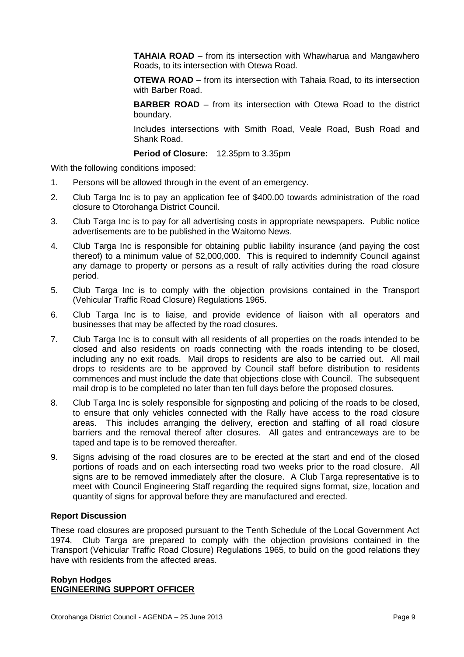**TAHAIA ROAD** – from its intersection with Whawharua and Mangawhero Roads, to its intersection with Otewa Road.

**OTEWA ROAD** – from its intersection with Tahaia Road, to its intersection with Barber Road.

**BARBER ROAD** – from its intersection with Otewa Road to the district boundary.

Includes intersections with Smith Road, Veale Road, Bush Road and Shank Road.

**Period of Closure:** 12.35pm to 3.35pm

With the following conditions imposed:

- 1. Persons will be allowed through in the event of an emergency.
- 2. Club Targa Inc is to pay an application fee of \$400.00 towards administration of the road closure to Otorohanga District Council.
- 3. Club Targa Inc is to pay for all advertising costs in appropriate newspapers. Public notice advertisements are to be published in the Waitomo News.
- 4. Club Targa Inc is responsible for obtaining public liability insurance (and paying the cost thereof) to a minimum value of \$2,000,000. This is required to indemnify Council against any damage to property or persons as a result of rally activities during the road closure period.
- 5. Club Targa Inc is to comply with the objection provisions contained in the Transport (Vehicular Traffic Road Closure) Regulations 1965.
- 6. Club Targa Inc is to liaise, and provide evidence of liaison with all operators and businesses that may be affected by the road closures.
- 7. Club Targa Inc is to consult with all residents of all properties on the roads intended to be closed and also residents on roads connecting with the roads intending to be closed, including any no exit roads. Mail drops to residents are also to be carried out. All mail drops to residents are to be approved by Council staff before distribution to residents commences and must include the date that objections close with Council. The subsequent mail drop is to be completed no later than ten full days before the proposed closures.
- 8. Club Targa Inc is solely responsible for signposting and policing of the roads to be closed, to ensure that only vehicles connected with the Rally have access to the road closure areas. This includes arranging the delivery, erection and staffing of all road closure barriers and the removal thereof after closures. All gates and entranceways are to be taped and tape is to be removed thereafter.
- 9. Signs advising of the road closures are to be erected at the start and end of the closed portions of roads and on each intersecting road two weeks prior to the road closure. All signs are to be removed immediately after the closure. A Club Targa representative is to meet with Council Engineering Staff regarding the required signs format, size, location and quantity of signs for approval before they are manufactured and erected.

#### **Report Discussion**

These road closures are proposed pursuant to the Tenth Schedule of the Local Government Act 1974. Club Targa are prepared to comply with the objection provisions contained in the Transport (Vehicular Traffic Road Closure) Regulations 1965, to build on the good relations they have with residents from the affected areas.

#### **Robyn Hodges ENGINEERING SUPPORT OFFICER**